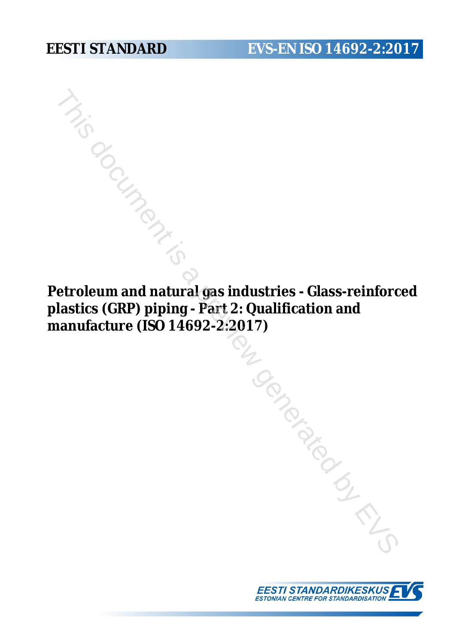**Petroleum and natural gas industries - Glass-reinforced plastics (GRP) piping - Part 2: Qualification and manufacture (ISO 14692-2:2017)** Experience of the Matter of the Matter of the Matter of the Matter (ISO 14692-2:2017)<br>
Experience (ISO 14692-2:2017)<br>
Applying Part 2: Qualification and vanifacture (ISO 14692-2:2017)<br>
Applying Part 2: Qualification and t

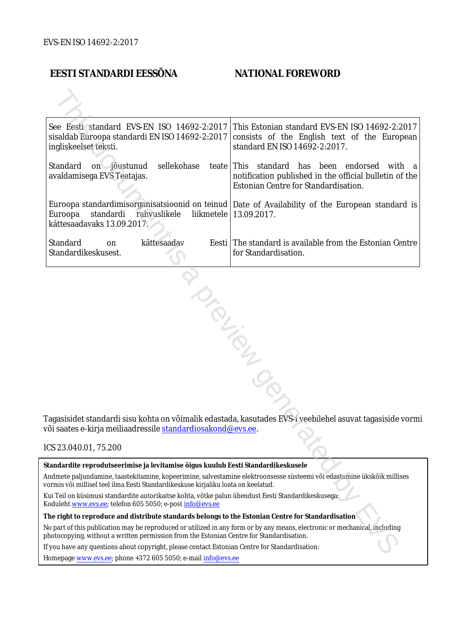### **EESTI STANDARDI EESSÕNA NATIONAL FOREWORD**

| See Eesti standard EVS-EN ISO 14692-2:2017<br>sisaldab Euroopa standardi EN ISO 14692-2:2017<br>ingliskeelset teksti.                                                                                                  | This Estonian standard EVS-EN ISO 14692-2:2017<br>consists of the English text of the European<br>standard EN ISO 14692-2:2017.                   |
|------------------------------------------------------------------------------------------------------------------------------------------------------------------------------------------------------------------------|---------------------------------------------------------------------------------------------------------------------------------------------------|
| Standard<br>sellekohase<br>on jõustunud<br>avaldamisega EVS Teatajas.                                                                                                                                                  | teate This standard has been endorsed<br>with a<br>notification published in the official bulletin of the<br>Estonian Centre for Standardisation. |
| Euroopa<br>standardi<br>rahvuslikele<br>kättesaadavaks 13.09.2017.                                                                                                                                                     | Euroopa standardimisorganisatsioonid on teinud   Date of Availability of the European standard is<br>liikmetele   13.09.2017.                     |
| Standard<br>kättesaadav<br>on<br>Standardikeskusest.                                                                                                                                                                   | Eesti The standard is available from the Estonian Centre<br>for Standardisation.                                                                  |
| või saates e-kirja meiliaadressile standardiosakond@evs.ee.                                                                                                                                                            | Tagasisidet standardi sisu kohta on võimalik edastada, kasutades EVS-i veebilehel asuvat tagasiside vormi                                         |
| ICS 23.040.01, 75.200                                                                                                                                                                                                  |                                                                                                                                                   |
| Standardite reprodutseerimise ja levitamise õigus kuulub Eesti Standardikeskusele                                                                                                                                      |                                                                                                                                                   |
| Andmete paljundamine, taastekitamine, kopeerimine, salvestamine elektroonsesse süsteemi või edastamine ükskõik millises<br>vormis või millisel teel ilma Eesti Standardikeskuse kirjaliku loata on keelatud.           |                                                                                                                                                   |
| : Kui Teil on küsimusi standardite autorikaitse kohta, võtke palun ühendust Eesti Standardikeskusega<br>Koduleht www.evs.ee; telefon 605 5050; e-post info@evs.ee                                                      |                                                                                                                                                   |
| The right to reproduce and distribute standards belongs to the Estonian Centre for Standardisation                                                                                                                     |                                                                                                                                                   |
| No part of this publication may be reproduced or utilized in any form or by any means, electronic or mechanical, including<br>photocopying, without a written permission from the Estonian Centre for Standardisation. |                                                                                                                                                   |
| If you have any questions about copyright, please contact Estonian Centre for Standardisation:                                                                                                                         |                                                                                                                                                   |
|                                                                                                                                                                                                                        |                                                                                                                                                   |

#### ICS 23.040.01, 75.200

Homepage [www.evs.ee](http://www.evs.ee/); phone +372 605 5050; e-mail info@evs.ee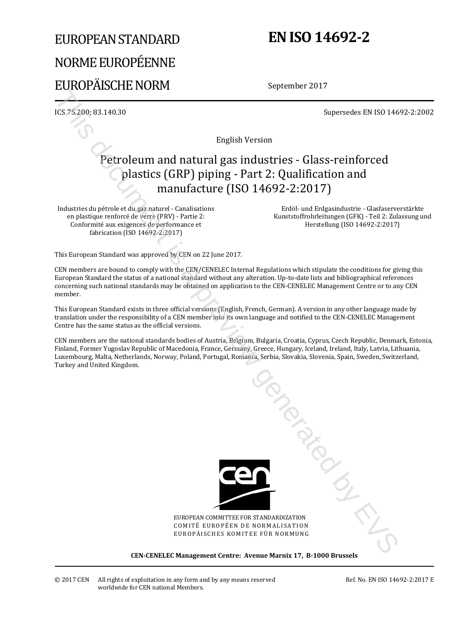# EUROPEAN STANDARD NORME EUROPÉENNE EUROPÄISCHE NORM

# **EN ISO 14692-2**

September 2017

ICS 75.200; 83.140.30 Supersedes EN ISO 14692-2:2002

English Version

## Petroleum and natural gas industries - Glass-reinforced plastics (GRP) piping - Part 2: Qualification and manufacture (ISO 14692-2:2017)

Industries du pétrole et du gaz naturel - Canalisations en plastique renforcé de verre (PRV) - Partie 2: Conformité aux exigences de performance et fabrication (ISO 14692-2:2017)

 Erdöl- und Erdgasindustrie - Glasfaserverstärkte Kunststoffrohrleitungen (GFK) - Teil 2: Zulassung und Herstellung (ISO 14692-2:2017)

This European Standard was approved by CEN on 22 June 2017.

CEN members are bound to comply with the CEN/CENELEC Internal Regulations which stipulate the conditions for giving this European Standard the status of a national standard without any alteration. Up-to-date lists and bibliographical references concerning such national standards may be obtained on application to the CEN-CENELEC Management Centre or to any CEN member.

This European Standard exists in three official versions (English, French, German). A version in any other language made by translation under the responsibility of a CEN member into its own language and notified to the CEN-CENELEC Management Centre has the same status as the official versions.

CEN members are the national standards bodies of Austria, Belgium, Bulgaria, Croatia, Cyprus, Czech Republic, Denmark, Estonia, Finland, Former Yugoslav Republic of Macedonia, France, Germany, Greece, Hungary, Iceland, Ireland, Italy, Latvia, Lithuania, Luxembourg, Malta, Netherlands, Norway, Poland, Portugal, Romania, Serbia, Slovakia, Slovenia, Spain, Sweden, Switzerland, Turkey and United Kingdom.



EUROPEAN COMMITTEE FOR STANDARDIZATION COMITÉ EUROPÉEN DE NORMALISATION EUROPÄISCHES KOMITEE FÜR NORMUNG This document is a previous

**CEN-CENELEC Management Centre: Avenue Marnix 17, B-1000 Brussels** 

© 2017 CEN All rights of exploitation in any form and by any means reserved worldwide for CEN national Members.

Ref. No. EN ISO 14692-2:2017 E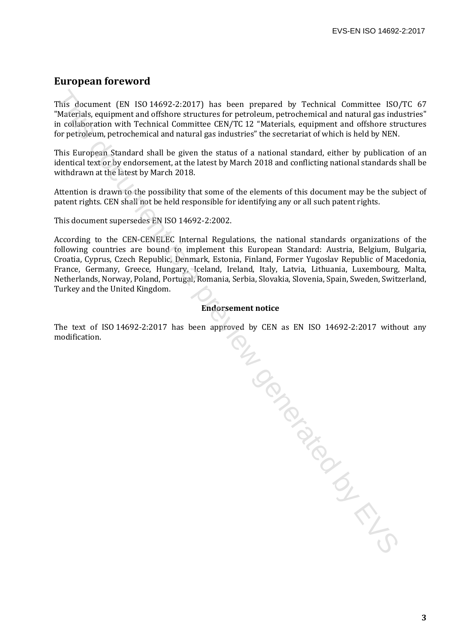#### **European foreword**

This document (EN ISO 14692-2:2017) has been prepared by Technical Committee ISO/TC 67 "Materials, equipment and offshore structures for petroleum, petrochemical and natural gas industries" in collaboration with Technical Committee CEN/TC 12 "Materials, equipment and offshore structures for petroleum, petrochemical and natural gas industries" the secretariat of which is held by NEN.

This European Standard shall be given the status of a national standard, either by publication of an identical text or by endorsement, at the latest by March 2018 and conflicting national standards shall be withdrawn at the latest by March 2018.

Attention is drawn to the possibility that some of the elements of this document may be the subject of patent rights. CEN shall not be held responsible for identifying any or all such patent rights.

This document supersedes EN ISO 14692-2:2002.

According to the CEN-CENELEC Internal Regulations, the national standards organizations of the following countries are bound to implement this European Standard: Austria, Belgium, Bulgaria, Croatia, Cyprus, Czech Republic, Denmark, Estonia, Finland, Former Yugoslav Republic of Macedonia, France, Germany, Greece, Hungary, Iceland, Ireland, Italy, Latvia, Lithuania, Luxembourg, Malta, Netherlands, Norway, Poland, Portugal, Romania, Serbia, Slovakia, Slovenia, Spain, Sweden, Switzerland, Turkey and the United Kingdom.

#### **Endorsement notice**

The text of ISO 14692-2:2017 has been approved by CEN as EN ISO 14692-2:2017 without any modification. A by L Condition is a previous condition of the condition of the condition of the condition of the condition of the condition of the condition of the condition of the condition of the condition of the condition of the cond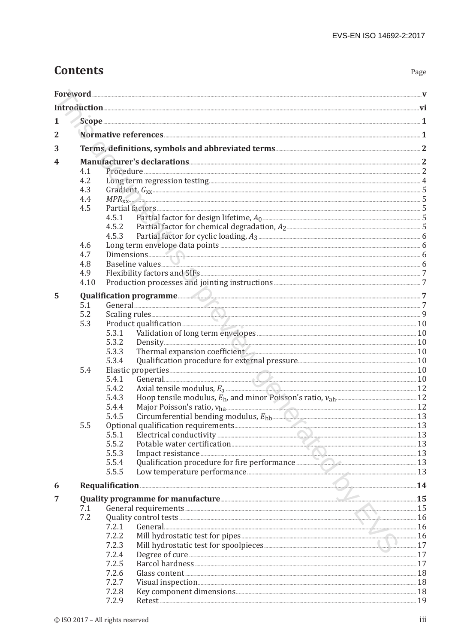# **Contents**

| 1              |      |                                                                                                                                                                                                                                                                                                                                                                  |  |
|----------------|------|------------------------------------------------------------------------------------------------------------------------------------------------------------------------------------------------------------------------------------------------------------------------------------------------------------------------------------------------------------------|--|
| $\overline{2}$ |      |                                                                                                                                                                                                                                                                                                                                                                  |  |
|                |      |                                                                                                                                                                                                                                                                                                                                                                  |  |
| 3              |      |                                                                                                                                                                                                                                                                                                                                                                  |  |
| 4              |      |                                                                                                                                                                                                                                                                                                                                                                  |  |
|                | 4.1  |                                                                                                                                                                                                                                                                                                                                                                  |  |
|                | 4.2  |                                                                                                                                                                                                                                                                                                                                                                  |  |
|                | 4.3  |                                                                                                                                                                                                                                                                                                                                                                  |  |
|                | 4.4  | $MPR_{xx}$ 5                                                                                                                                                                                                                                                                                                                                                     |  |
|                | 4.5  |                                                                                                                                                                                                                                                                                                                                                                  |  |
|                |      | 4.5.1<br>4.5.2                                                                                                                                                                                                                                                                                                                                                   |  |
|                |      | 4.5.3                                                                                                                                                                                                                                                                                                                                                            |  |
|                | 4.6  |                                                                                                                                                                                                                                                                                                                                                                  |  |
|                | 4.7  | Dimensions 6                                                                                                                                                                                                                                                                                                                                                     |  |
|                | 4.8  |                                                                                                                                                                                                                                                                                                                                                                  |  |
|                | 4.9  |                                                                                                                                                                                                                                                                                                                                                                  |  |
|                | 4.10 |                                                                                                                                                                                                                                                                                                                                                                  |  |
| 5              |      |                                                                                                                                                                                                                                                                                                                                                                  |  |
|                | 5.1  |                                                                                                                                                                                                                                                                                                                                                                  |  |
|                | 5.2  |                                                                                                                                                                                                                                                                                                                                                                  |  |
|                | 5.3  | Product qualification <b>Exercise Construction</b> 20                                                                                                                                                                                                                                                                                                            |  |
|                |      | 5.3.1                                                                                                                                                                                                                                                                                                                                                            |  |
|                |      | 5.3.2                                                                                                                                                                                                                                                                                                                                                            |  |
|                |      | Thermal expansion coefficient 10<br>5.3.3                                                                                                                                                                                                                                                                                                                        |  |
|                |      | 5.3.4                                                                                                                                                                                                                                                                                                                                                            |  |
|                | 5.4  |                                                                                                                                                                                                                                                                                                                                                                  |  |
|                |      | 5.4.1                                                                                                                                                                                                                                                                                                                                                            |  |
|                |      | 5.4.2                                                                                                                                                                                                                                                                                                                                                            |  |
|                |      | 5.4.3                                                                                                                                                                                                                                                                                                                                                            |  |
|                |      | 5.4.4                                                                                                                                                                                                                                                                                                                                                            |  |
|                | 5.5  | Circumferential bending modulus, $E_{\text{hb}}$ and $E_{\text{hb}}$ and $E_{\text{hb}}$ and $E_{\text{hb}}$ and $E_{\text{hb}}$ and $E_{\text{hb}}$ and $E_{\text{hb}}$ and $E_{\text{hb}}$ and $E_{\text{hb}}$ and $E_{\text{hb}}$ and $E_{\text{hb}}$ and $E_{\text{hb}}$ and $E_{\text{hb}}$ and $E_{\text{$<br>5.4.5<br>Optional qualification requirements |  |
|                |      | 5.5.1                                                                                                                                                                                                                                                                                                                                                            |  |
|                |      | 5.5.2                                                                                                                                                                                                                                                                                                                                                            |  |
|                |      | Impact resistance 23<br>5.5.3                                                                                                                                                                                                                                                                                                                                    |  |
|                |      | Qualification procedure for fire performance <b>All According to 13</b> and 13<br>5.5.4                                                                                                                                                                                                                                                                          |  |
|                |      | Low temperature performance 13<br>5.5.5                                                                                                                                                                                                                                                                                                                          |  |
| 6              |      | Requalification <b>Executive Contract Contract Contract Contract Contract Contract Contract Contract Contract Contract Contract Contract Contract Contract Contract Contract Contract Contract Contract Contract Contract Contra</b>                                                                                                                             |  |
|                |      |                                                                                                                                                                                                                                                                                                                                                                  |  |
| 7              |      |                                                                                                                                                                                                                                                                                                                                                                  |  |
|                | 7.1  | General requirements 15                                                                                                                                                                                                                                                                                                                                          |  |
|                | 7.2  | 7.2.1                                                                                                                                                                                                                                                                                                                                                            |  |
|                |      | 7.2.2                                                                                                                                                                                                                                                                                                                                                            |  |
|                |      | 7.2.3                                                                                                                                                                                                                                                                                                                                                            |  |
|                |      | 7.2.4                                                                                                                                                                                                                                                                                                                                                            |  |
|                |      | 7.2.5                                                                                                                                                                                                                                                                                                                                                            |  |
|                |      | 7.2.6                                                                                                                                                                                                                                                                                                                                                            |  |
|                |      | 7.2.7                                                                                                                                                                                                                                                                                                                                                            |  |
|                |      | 7.2.8                                                                                                                                                                                                                                                                                                                                                            |  |
|                |      | 7.2.9                                                                                                                                                                                                                                                                                                                                                            |  |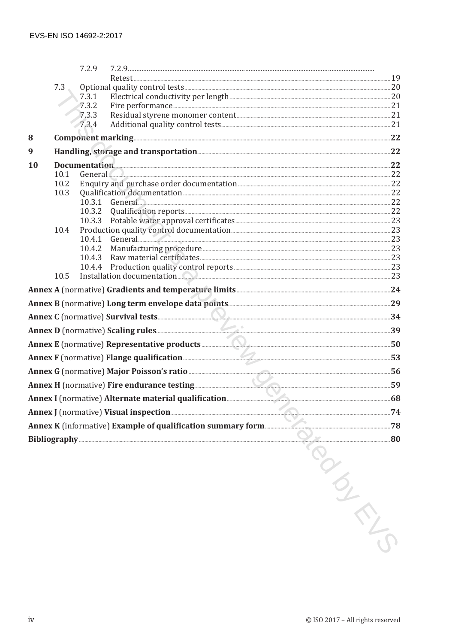| Documentation 22<br>$General$ 22<br>10.3.1 General 22<br>$General$ 23<br>Installation documentation 23     |
|------------------------------------------------------------------------------------------------------------|
|                                                                                                            |
|                                                                                                            |
|                                                                                                            |
|                                                                                                            |
|                                                                                                            |
|                                                                                                            |
|                                                                                                            |
|                                                                                                            |
|                                                                                                            |
|                                                                                                            |
|                                                                                                            |
|                                                                                                            |
|                                                                                                            |
|                                                                                                            |
|                                                                                                            |
|                                                                                                            |
|                                                                                                            |
|                                                                                                            |
| Annex B (normative) Long term envelope data points [11] and the context of the 29                          |
|                                                                                                            |
|                                                                                                            |
| Annex E (normative) Representative products <b>Annex E (normative)</b> 50                                  |
| Annex F (normative) Flange qualification <b>Exercise 2020</b> 53                                           |
|                                                                                                            |
| Annex H (normative) Fire endurance testing 59                                                              |
|                                                                                                            |
| Annex J (normative) Visual inspection<br>Annex K (informative) Example of qualification summary form<br>78 |
|                                                                                                            |
| Bibliography 20                                                                                            |
| CINETY                                                                                                     |
|                                                                                                            |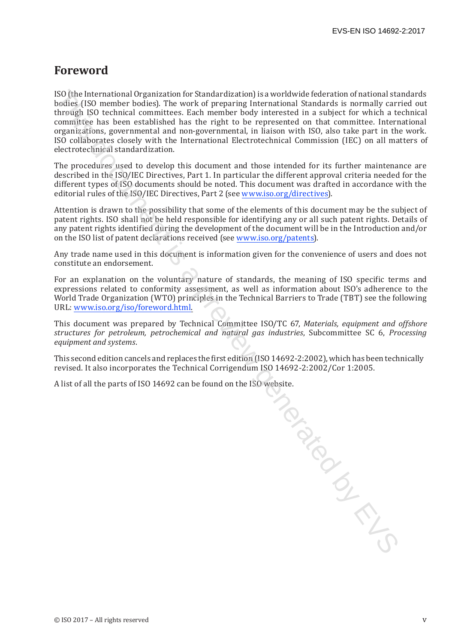## **Foreword**

ISO (the International Organization for Standardization) is a worldwide federation of national standards bodies (ISO member bodies). The work of preparing International Standards is normally carried out through ISO technical committees. Each member body interested in a subject for which a technical committee has been established has the right to be represented on that committee. International organizations, governmental and non-governmental, in liaison with ISO, also take part in the work. ISO collaborates closely with the International Electrotechnical Commission (IEC) on all matters of electrotechnical standardization.

The procedures used to develop this document and those intended for its further maintenance are described in the ISO/IEC Directives, Part 1. In particular the different approval criteria needed for the different types of ISO documents should be noted. This document was drafted in accordance with the editorial rules of the ISO/IEC Directives, Part 2 (see www.iso.org/directives).

Attention is drawn to the possibility that some of the elements of this document may be the subject of patent rights. ISO shall not be held responsible for identifying any or all such patent rights. Details of any patent rights identified during the development of the document will be in the Introduction and/or on the ISO list of patent declarations received (see www.iso.org/patents).

Any trade name used in this document is information given for the convenience of users and does not constitute an endorsement.

For an explanation on the voluntary nature of standards, the meaning of ISO specific terms and expressions related to conformity assessment, as well as information about ISO's adherence to the World Trade Organization (WTO) principles in the Technical Barriers to Trade (TBT) see the following URL: www.iso.org/iso/foreword.html.

This document was prepared by Technical Committee ISO/TC 67, *Materials, equipment and offshore structures for petroleum, petrochemical and natural gas industries*, Subcommittee SC 6, *Processing equipment and systems*.

This second edition cancels and replaces the first edition (ISO 14692-2:2002), which has been technically revised. It also incorporates the Technical Corrigendum ISO 14692-2:2002/Cor 1:2005.

A list of all the parts of ISO 14692 can be found on the ISO website.

To done is a previous critical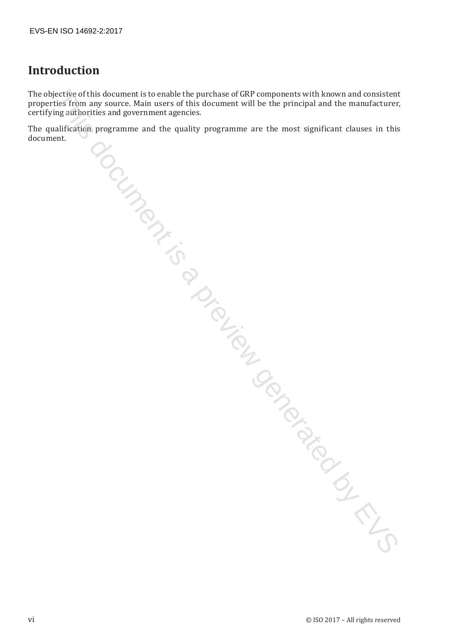# **Introduction**

The objective of this document is to enable the purchase of GRP components with known and consistent properties from any source. Main users of this document will be the principal and the manufacturer, certifying authorities and government agencies. electron of the stochastic the molecule procedure and CER components with known and consistent is a preview generated by the function of consistent changes of this discurrent will be the principal and the manufacturer, we

The qualification programme and the quality programme are the most significant clauses in this document.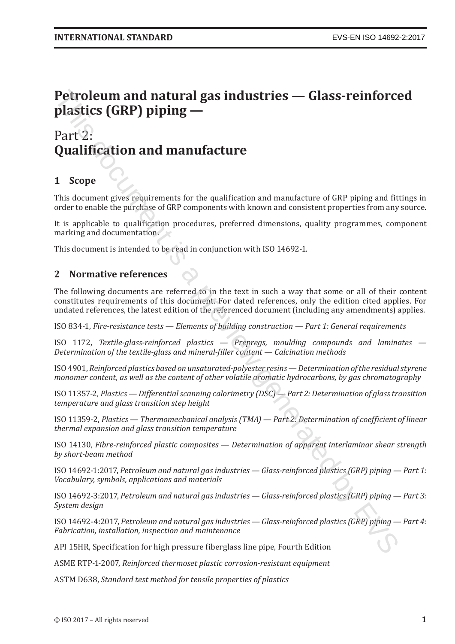# **Petroleum and natural gas industries — Glass-reinforced plastics (GRP) piping — Petroleum and natural gas industries — Glass-reinforce<br>
plastics (GRP) piping —<br>
Part 2:<br>
Qualification and manufacture<br>
Qualification and manufacture<br>
This document gives requirements for the qualification and manufactu**

# Part<sup>(2</sup>: **Qualification and manufacture**

### **1 Scope**

This document gives requirements for the qualification and manufacture of GRP piping and fittings in order to enable the purchase of GRP components with known and consistent properties from any source.

It is applicable to qualification procedures, preferred dimensions, quality programmes, component marking and documentation.

This document is intended to be read in conjunction with ISO 14692-1.

#### **2 Normative references**

The following documents are referred to in the text in such a way that some or all of their content constitutes requirements of this document. For dated references, only the edition cited applies. For undated references, the latest edition of the referenced document (including any amendments) applies.

ISO 834-1, *Fire-resistance tests — Elements of building construction — Part 1: General requirements*

ISO 1172, *Textile-glass-reinforced plastics — Prepregs, moulding compounds and laminates — Determination of the textile-glass and mineral-filler content — Calcination methods*

ISO4901, *Reinforced plastics based on unsaturated-polyester resins —Determination ofthe residualstyrene monomer content, as well as the content of other volatile aromatic hydrocarbons, by gas chromatography*

ISO 11357-2, *Plastics — Differential scanning calorimetry (DSC) — Part 2: Determination of glass transition temperature and glass transition step height*

ISO 11359-2, *Plastics — Thermomechanical analysis (TMA) — Part 2: Determination of coefficient of linear thermal expansion and glass transition temperature*

ISO 14130, *Fibre-reinforced plastic composites — Determination of apparent interlaminar shear strength by short-beam method*

ISO 14692-1:2017, *Petroleum and natural gas industries — Glass-reinforced plastics (GRP) piping — Part 1: Vocabulary, symbols, applications and materials*

ISO 14692-3:2017, *Petroleum and natural gas industries — Glass-reinforced plastics (GRP) piping — Part 3: System design*

ISO 14692-4:2017, *Petroleum and natural gas industries — Glass-reinforced plastics (GRP) piping — Part 4: Fabrication, installation, inspection and maintenance*

API 15HR, Specification for high pressure fiberglass line pipe, Fourth Edition

ASME RTP-1-2007, *Reinforced thermoset plastic corrosion-resistant equipment*

ASTM D638, *Standard test method for tensile properties of plastics*